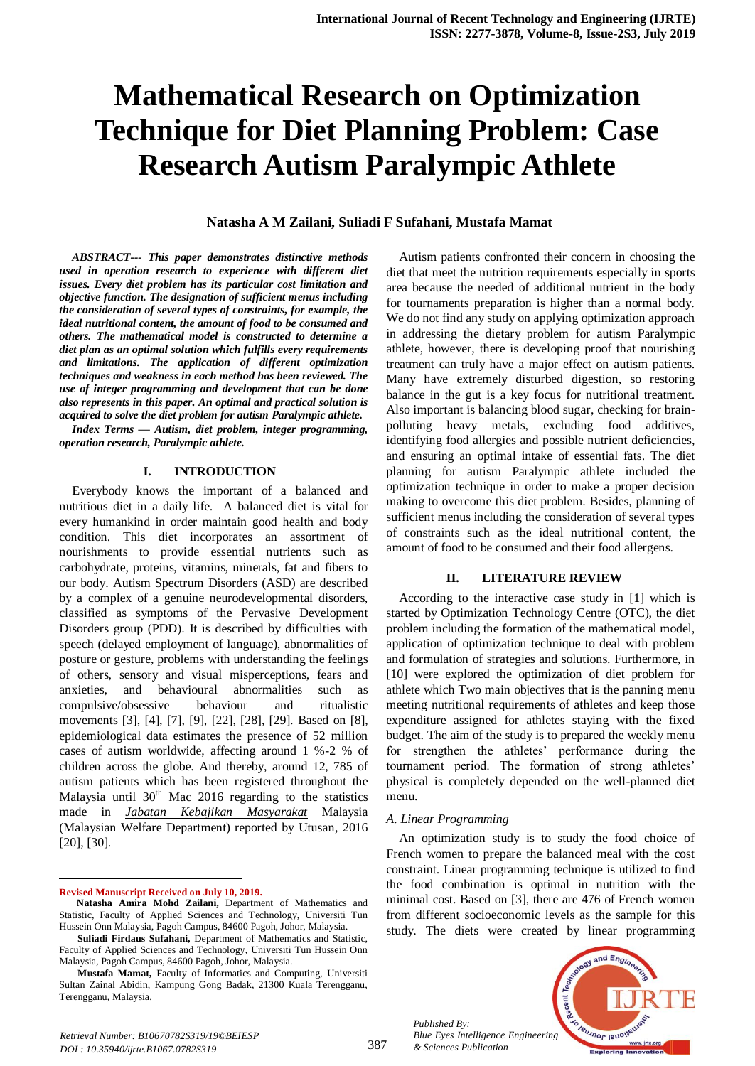# **Mathematical Research on Optimization Technique for Diet Planning Problem: Case Research Autism Paralympic Athlete**

#### **Natasha A M Zailani, Suliadi F Sufahani, Mustafa Mamat**

*ABSTRACT--- This paper demonstrates distinctive methods used in operation research to experience with different diet issues. Every diet problem has its particular cost limitation and objective function. The designation of sufficient menus including the consideration of several types of constraints, for example, the ideal nutritional content, the amount of food to be consumed and others. The mathematical model is constructed to determine a diet plan as an optimal solution which fulfills every requirements and limitations. The application of different optimization techniques and weakness in each method has been reviewed. The use of integer programming and development that can be done also represents in this paper. An optimal and practical solution is acquired to solve the diet problem for autism Paralympic athlete.*

*Index Terms — Autism, diet problem, integer programming, operation research, Paralympic athlete.*

#### **I. INTRODUCTION**

Everybody knows the important of a balanced and nutritious diet in a daily life. A balanced diet is vital for every humankind in order maintain good health and body condition. This diet incorporates an assortment of nourishments to provide essential nutrients such as carbohydrate, proteins, vitamins, minerals, fat and fibers to our body. Autism Spectrum Disorders (ASD) are described by a complex of a genuine neurodevelopmental disorders, classified as symptoms of the Pervasive Development Disorders group (PDD). It is described by difficulties with speech (delayed employment of language), abnormalities of posture or gesture, problems with understanding the feelings of others, sensory and visual misperceptions, fears and anxieties, and behavioural abnormalities such as compulsive/obsessive behaviour and ritualistic movements [3], [4], [7], [9], [22], [28], [29]. Based on [8], epidemiological data estimates the presence of 52 million cases of autism worldwide, affecting around 1 %-2 % of children across the globe. And thereby, around 12, 785 of autism patients which has been registered throughout the Malaysia until  $30<sup>th</sup>$  Mac 2016 regarding to the statistics made in *Jabatan Kebajikan Masyarakat* Malaysia (Malaysian Welfare Department) reported by Utusan, 2016 [20], [30].

#### **Revised Manuscript Received on July 10, 2019.**

 $\overline{a}$ 

Autism patients confronted their concern in choosing the diet that meet the nutrition requirements especially in sports area because the needed of additional nutrient in the body for tournaments preparation is higher than a normal body. We do not find any study on applying optimization approach in addressing the dietary problem for autism Paralympic athlete, however, there is developing proof that nourishing treatment can truly have a major effect on autism patients. Many have extremely disturbed digestion, so restoring balance in the gut is a key focus for nutritional treatment. Also important is balancing blood sugar, checking for brainpolluting heavy metals, excluding food additives, identifying food allergies and possible nutrient deficiencies, and ensuring an optimal intake of essential fats. The diet planning for autism Paralympic athlete included the optimization technique in order to make a proper decision making to overcome this diet problem. Besides, planning of sufficient menus including the consideration of several types of constraints such as the ideal nutritional content, the amount of food to be consumed and their food allergens.

#### **II. LITERATURE REVIEW**

According to the interactive case study in [1] which is started by Optimization Technology Centre (OTC), the diet problem including the formation of the mathematical model, application of optimization technique to deal with problem and formulation of strategies and solutions. Furthermore, in [10] were explored the optimization of diet problem for athlete which Two main objectives that is the panning menu meeting nutritional requirements of athletes and keep those expenditure assigned for athletes staying with the fixed budget. The aim of the study is to prepared the weekly menu for strengthen the athletes' performance during the tournament period. The formation of strong athletes' physical is completely depended on the well-planned diet menu.

#### *A. Linear Programming*

*Published By:*

*& Sciences Publication* 

An optimization study is to study the food choice of French women to prepare the balanced meal with the cost constraint. Linear programming technique is utilized to find the food combination is optimal in nutrition with the minimal cost. Based on [3], there are 476 of French women from different socioeconomic levels as the sample for this study. The diets were created by linear programming



**Natasha Amira Mohd Zailani,** Department of Mathematics and Statistic, Faculty of Applied Sciences and Technology, Universiti Tun Hussein Onn Malaysia, Pagoh Campus, 84600 Pagoh, Johor, Malaysia.

**Suliadi Firdaus Sufahani,** Department of Mathematics and Statistic, Faculty of Applied Sciences and Technology, Universiti Tun Hussein Onn Malaysia, Pagoh Campus, 84600 Pagoh, Johor, Malaysia.

**Mustafa Mamat,** Faculty of Informatics and Computing, Universiti Sultan Zainal Abidin, Kampung Gong Badak, 21300 Kuala Terengganu, Terengganu, Malaysia.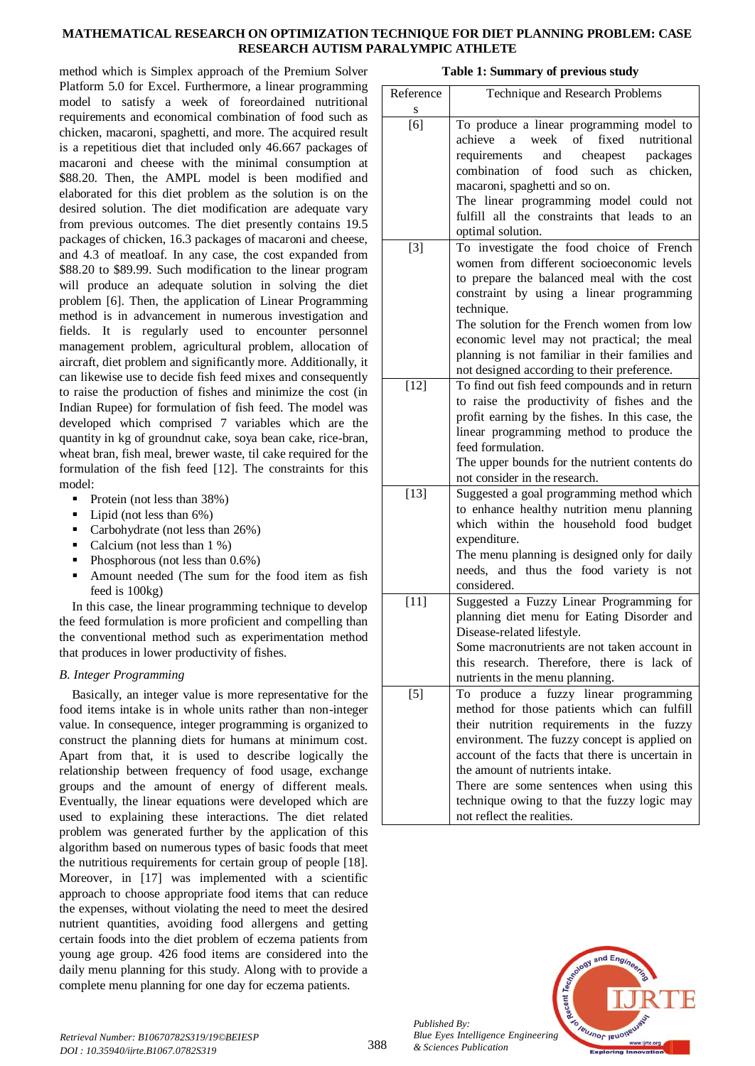## **MATHEMATICAL RESEARCH ON OPTIMIZATION TECHNIQUE FOR DIET PLANNING PROBLEM: CASE RESEARCH AUTISM PARALYMPIC ATHLETE**

method which is Simplex approach of the Premium Solver Platform 5.0 for Excel. Furthermore, a linear programming model to satisfy a week of foreordained nutritional requirements and economical combination of food such as chicken, macaroni, spaghetti, and more. The acquired result is a repetitious diet that included only 46.667 packages of macaroni and cheese with the minimal consumption at \$88.20. Then, the AMPL model is been modified and elaborated for this diet problem as the solution is on the desired solution. The diet modification are adequate vary from previous outcomes. The diet presently contains 19.5 packages of chicken, 16.3 packages of macaroni and cheese, and 4.3 of meatloaf. In any case, the cost expanded from \$88.20 to \$89.99. Such modification to the linear program will produce an adequate solution in solving the diet problem [6]. Then, the application of Linear Programming method is in advancement in numerous investigation and fields. It is regularly used to encounter personnel management problem, agricultural problem, allocation of aircraft, diet problem and significantly more. Additionally, it can likewise use to decide fish feed mixes and consequently to raise the production of fishes and minimize the cost (in Indian Rupee) for formulation of fish feed. The model was developed which comprised 7 variables which are the quantity in kg of groundnut cake, soya bean cake, rice-bran, wheat bran, fish meal, brewer waste, til cake required for the formulation of the fish feed [12]. The constraints for this model:

- Protein (not less than 38%)
- $\blacksquare$  Lipid (not less than 6%)
- Carbohydrate (not less than 26%)
- Calcium (not less than 1 %)
- Phosphorous (not less than 0.6%)
- Amount needed (The sum for the food item as fish feed is 100kg)

In this case, the linear programming technique to develop the feed formulation is more proficient and compelling than the conventional method such as experimentation method that produces in lower productivity of fishes.

# *B. Integer Programming*

Basically, an integer value is more representative for the food items intake is in whole units rather than non-integer value. In consequence, integer programming is organized to construct the planning diets for humans at minimum cost. Apart from that, it is used to describe logically the relationship between frequency of food usage, exchange groups and the amount of energy of different meals. Eventually, the linear equations were developed which are used to explaining these interactions. The diet related problem was generated further by the application of this algorithm based on numerous types of basic foods that meet the nutritious requirements for certain group of people [18]. Moreover, in [17] was implemented with a scientific approach to choose appropriate food items that can reduce the expenses, without violating the need to meet the desired nutrient quantities, avoiding food allergens and getting certain foods into the diet problem of eczema patients from young age group. 426 food items are considered into the daily menu planning for this study. Along with to provide a complete menu planning for one day for eczema patients.

| Table 1: Summary of previous study |
|------------------------------------|
|------------------------------------|

| Reference | Technique and Research Problems                                                          |
|-----------|------------------------------------------------------------------------------------------|
| S         |                                                                                          |
| [6]       | To produce a linear programming model to<br>week of<br>fixed nutritional<br>achieve<br>a |
|           |                                                                                          |
|           | requirements<br>and<br>cheapest<br>packages<br>combination<br>of<br>food<br>such         |
|           | chicken,<br>as                                                                           |
|           | macaroni, spaghetti and so on.                                                           |
|           | The linear programming model could not                                                   |
|           | fulfill all the constraints that leads to an                                             |
| $[3]$     | optimal solution.<br>To investigate the food choice of French                            |
|           | women from different socioeconomic levels                                                |
|           | to prepare the balanced meal with the cost                                               |
|           | constraint by using a linear programming                                                 |
|           | technique.                                                                               |
|           | The solution for the French women from low                                               |
|           | economic level may not practical; the meal                                               |
|           | planning is not familiar in their families and                                           |
|           | not designed according to their preference.                                              |
| $[12]$    | To find out fish feed compounds and in return                                            |
|           | to raise the productivity of fishes and the                                              |
|           | profit earning by the fishes. In this case, the                                          |
|           | linear programming method to produce the                                                 |
|           | feed formulation.                                                                        |
|           | The upper bounds for the nutrient contents do                                            |
|           | not consider in the research.                                                            |
| $[13]$    | Suggested a goal programming method which                                                |
|           | to enhance healthy nutrition menu planning                                               |
|           | which within the household food budget                                                   |
|           | expenditure.                                                                             |
|           | The menu planning is designed only for daily                                             |
|           | needs, and thus the food variety is not                                                  |
|           | considered.                                                                              |
| $[11]$    | Suggested a Fuzzy Linear Programming for                                                 |
|           | planning diet menu for Eating Disorder and                                               |
|           | Disease-related lifestyle.                                                               |
|           | Some macronutrients are not taken account in                                             |
|           | this research. Therefore, there is lack of                                               |
|           | nutrients in the menu planning.                                                          |
| $[5]$     | To produce a fuzzy linear programming                                                    |
|           | method for those patients which can fulfill                                              |
|           | their nutrition requirements in the fuzzy                                                |
|           | environment. The fuzzy concept is applied on                                             |
|           | account of the facts that there is uncertain in                                          |
|           | the amount of nutrients intake.                                                          |
|           | There are some sentences when using this                                                 |
|           | technique owing to that the fuzzy logic may                                              |
|           | not reflect the realities.                                                               |



*Published By:*

*& Sciences Publication*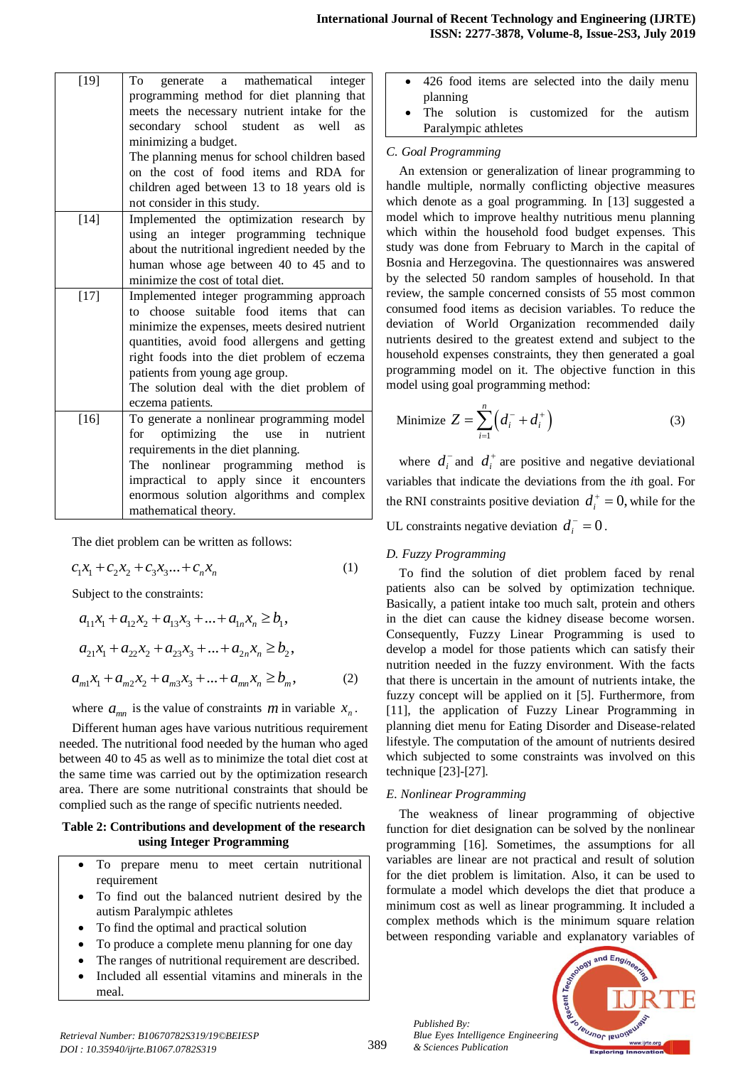| $[19]$ | generate a mathematical integer<br>To               |
|--------|-----------------------------------------------------|
|        | programming method for diet planning that           |
|        | meets the necessary nutrient intake for the         |
|        | secondary school student<br>well<br>as<br><b>as</b> |
|        | minimizing a budget.                                |
|        | The planning menus for school children based        |
|        | on the cost of food items and RDA for               |
|        | children aged between 13 to 18 years old is         |
|        | not consider in this study.                         |
| $[14]$ | Implemented the optimization research by            |
|        | using an integer programming technique              |
|        | about the nutritional ingredient needed by the      |
|        | human whose age between 40 to 45 and to             |
|        | minimize the cost of total diet.                    |
| $[17]$ | Implemented integer programming approach            |
|        | to choose suitable food items that can              |
|        | minimize the expenses, meets desired nutrient       |
|        | quantities, avoid food allergens and getting        |
|        | right foods into the diet problem of eczema         |
|        | patients from young age group.                      |
|        | The solution deal with the diet problem of          |
|        | eczema patients.                                    |
| $[16]$ | To generate a nonlinear programming model           |
|        | optimizing the<br>use<br>in<br>nutrient<br>for      |
|        | requirements in the diet planning.                  |
|        | The nonlinear programming method is                 |
|        | impractical to apply since it encounters            |
|        | enormous solution algorithms and complex            |
|        | mathematical theory.                                |

The diet problem can be written as follows:

$$
c_1 x_1 + c_2 x_2 + c_3 x_3 \dots + c_n x_n \tag{1}
$$

Subject to the constraints:  
\n
$$
a_{11}x_1 + a_{12}x_2 + a_{13}x_3 + ... + a_{1n}x_n \ge b_1,
$$
\n
$$
a_{21}x_1 + a_{22}x_2 + a_{23}x_3 + ... + a_{2n}x_n \ge b_2,
$$
\n
$$
a_{m1}x_1 + a_{m2}x_2 + a_{m3}x_3 + ... + a_{mn}x_n \ge b_m,
$$
\n(2)

where  $a_{mn}$  is the value of constraints *m* in variable  $x_n$ .

Different human ages have various nutritious requirement needed. The nutritional food needed by the human who aged between 40 to 45 as well as to minimize the total diet cost at the same time was carried out by the optimization research area. There are some nutritional constraints that should be complied such as the range of specific nutrients needed.

#### **Table 2: Contributions and development of the research using Integer Programming**

- To prepare menu to meet certain nutritional requirement
- To find out the balanced nutrient desired by the autism Paralympic athletes
- To find the optimal and practical solution
- To produce a complete menu planning for one day
- The ranges of nutritional requirement are described.
- Included all essential vitamins and minerals in the meal.
- 426 food items are selected into the daily menu planning
- The solution is customized for the autism Paralympic athletes

### *C. Goal Programming*

An extension or generalization of linear programming to handle multiple, normally conflicting objective measures which denote as a goal programming. In [13] suggested a model which to improve healthy nutritious menu planning which within the household food budget expenses. This study was done from February to March in the capital of Bosnia and Herzegovina. The questionnaires was answered by the selected 50 random samples of household. In that review, the sample concerned consists of 55 most common consumed food items as decision variables. To reduce the deviation of World Organization recommended daily nutrients desired to the greatest extend and subject to the household expenses constraints, they then generated a goal programming model on it. The objective function in this model using goal programming method:

$$
\text{Minimize } Z = \sum_{i=1}^{n} \left( d_i^- + d_i^+ \right) \tag{3}
$$

where  $d_i^-$  and  $d_i^+$  are positive and negative deviational variables that indicate the deviations from the *i*th goal. For the RNI constraints positive deviation  $d_i^+ = 0$ , while for the

UL constraints negative deviation  $d_i^- = 0$ .

## *D. Fuzzy Programming*

To find the solution of diet problem faced by renal patients also can be solved by optimization technique. Basically, a patient intake too much salt, protein and others in the diet can cause the kidney disease become worsen. Consequently, Fuzzy Linear Programming is used to develop a model for those patients which can satisfy their nutrition needed in the fuzzy environment. With the facts that there is uncertain in the amount of nutrients intake, the fuzzy concept will be applied on it [5]. Furthermore, from [11], the application of Fuzzy Linear Programming in planning diet menu for Eating Disorder and Disease-related lifestyle. The computation of the amount of nutrients desired which subjected to some constraints was involved on this technique [23]-[27].

## *E. Nonlinear Programming*

*Published By:*

*& Sciences Publication* 

The weakness of linear programming of objective function for diet designation can be solved by the nonlinear programming [16]. Sometimes, the assumptions for all variables are linear are not practical and result of solution for the diet problem is limitation. Also, it can be used to formulate a model which develops the diet that produce a minimum cost as well as linear programming. It included a complex methods which is the minimum square relation between responding variable and explanatory variables of

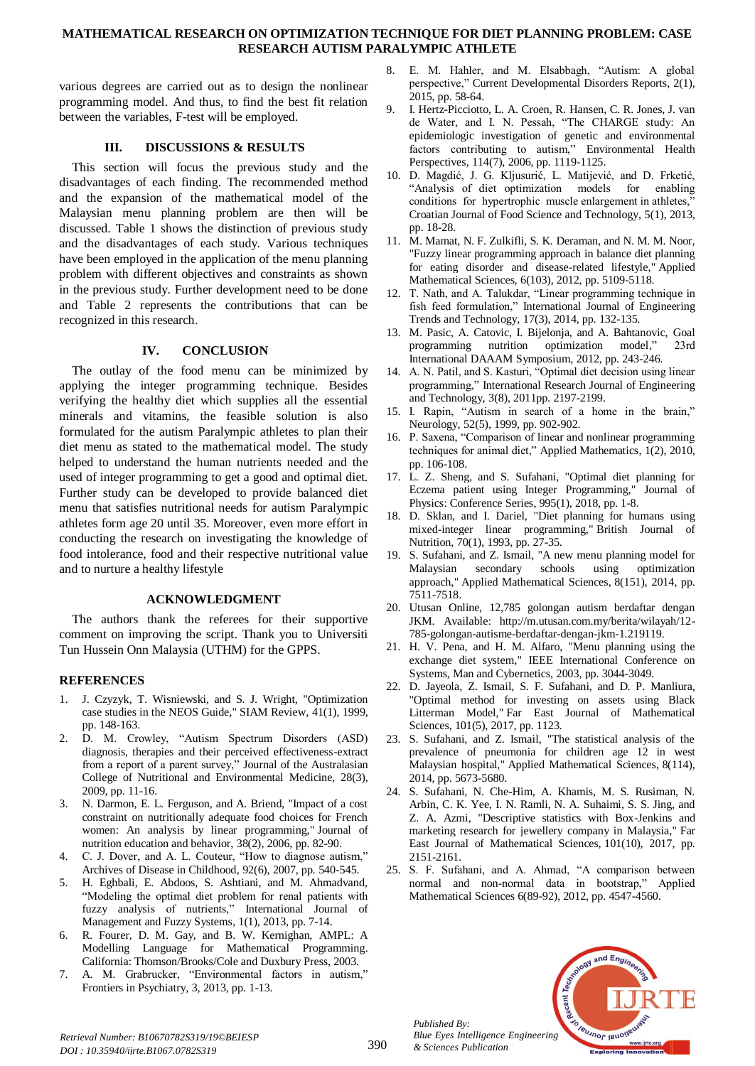## **MATHEMATICAL RESEARCH ON OPTIMIZATION TECHNIQUE FOR DIET PLANNING PROBLEM: CASE RESEARCH AUTISM PARALYMPIC ATHLETE**

various degrees are carried out as to design the nonlinear programming model. And thus, to find the best fit relation between the variables, F-test will be employed.

# **III. DISCUSSIONS & RESULTS**

This section will focus the previous study and the disadvantages of each finding. The recommended method and the expansion of the mathematical model of the Malaysian menu planning problem are then will be discussed. Table 1 shows the distinction of previous study and the disadvantages of each study. Various techniques have been employed in the application of the menu planning problem with different objectives and constraints as shown in the previous study. Further development need to be done and Table 2 represents the contributions that can be recognized in this research.

# **IV. CONCLUSION**

The outlay of the food menu can be minimized by applying the integer programming technique. Besides verifying the healthy diet which supplies all the essential minerals and vitamins, the feasible solution is also formulated for the autism Paralympic athletes to plan their diet menu as stated to the mathematical model. The study helped to understand the human nutrients needed and the used of integer programming to get a good and optimal diet. Further study can be developed to provide balanced diet menu that satisfies nutritional needs for autism Paralympic athletes form age 20 until 35. Moreover, even more effort in conducting the research on investigating the knowledge of food intolerance, food and their respective nutritional value and to nurture a healthy lifestyle

# **ACKNOWLEDGMENT**

The authors thank the referees for their supportive comment on improving the script. Thank you to Universiti Tun Hussein Onn Malaysia (UTHM) for the GPPS.

## **REFERENCES**

- 1. J. Czyzyk, T. Wisniewski, and S. J. Wright, "Optimization case studies in the NEOS Guide," SIAM Review, 41(1), 1999, pp. 148-163.
- 2. D. M. Crowley, "Autism Spectrum Disorders (ASD) diagnosis, therapies and their perceived effectiveness-extract from a report of a parent survey," Journal of the Australasian College of Nutritional and Environmental Medicine, 28(3), 2009, pp. 11-16.
- 3. N. Darmon, E. L. Ferguson, and A. Briend, "Impact of a cost constraint on nutritionally adequate food choices for French women: An analysis by linear programming," Journal of nutrition education and behavior, 38(2), 2006, pp. 82-90.
- 4. C. J. Dover, and A. L. Couteur, "How to diagnose autism," Archives of Disease in Childhood, 92(6), 2007, pp. 540-545.
- 5. H. Eghbali, E. Abdoos, S. Ashtiani, and M. Ahmadvand, "Modeling the optimal diet problem for renal patients with fuzzy analysis of nutrients," International Journal of Management and Fuzzy Systems, 1(1), 2013, pp. 7-14.
- 6. R. Fourer, D. M. Gay, and B. W. Kernighan, AMPL: A Modelling Language for Mathematical Programming. California: Thomson/Brooks/Cole and Duxbury Press, 2003.
- 7. A. M. Grabrucker, "Environmental factors in autism," Frontiers in Psychiatry, 3, 2013, pp. 1-13.
- 8. E. M. Hahler, and M. Elsabbagh, "Autism: A global perspective," Current Developmental Disorders Reports, 2(1), 2015, pp. 58-64.
- 9. I. Hertz-Picciotto, L. A. Croen, R. Hansen, C. R. Jones, J. van de Water, and I. N. Pessah, "The CHARGE study: An epidemiologic investigation of genetic and environmental factors contributing to autism," Environmental Health Perspectives, 114(7), 2006, pp. 1119-1125.
- 10. D. Magdić, J. G. Kljusurić, L. Matijević, and D. Frketić, "Analysis of diet optimization models for enabling conditions for hypertrophic muscle enlargement in athletes," Croatian Journal of Food Science and Technology, 5(1), 2013, pp. 18-28.
- 11. M. Mamat, N. F. Zulkifli, S. K. Deraman, and N. M. M. Noor, "Fuzzy linear programming approach in balance diet planning for eating disorder and disease-related lifestyle," Applied Mathematical Sciences, 6(103), 2012, pp. 5109-5118.
- 12. T. Nath, and A. Talukdar, "Linear programming technique in fish feed formulation," International Journal of Engineering Trends and Technology, 17(3), 2014, pp. 132-135.
- 13. M. Pasic, A. Catovic, I. Bijelonja, and A. Bahtanovic, Goal programming nutrition optimization model," 23rd International DAAAM Symposium, 2012, pp. 243-246.
- 14. A. N. Patil, and S. Kasturi, "Optimal diet decision using linear programming," International Research Journal of Engineering and Technology, 3(8), 2011pp. 2197-2199.
- 15. I. Rapin, "Autism in search of a home in the brain," Neurology, 52(5), 1999, pp. 902-902.
- 16. P. Saxena, "Comparison of linear and nonlinear programming techniques for animal diet," Applied Mathematics, 1(2), 2010, pp. 106-108.
- 17. L. Z. Sheng, and S. Sufahani, "Optimal diet planning for Eczema patient using Integer Programming," Journal of Physics: Conference Series, 995(1), 2018, pp. 1-8.
- 18. D. Sklan, and I. Dariel, "Diet planning for humans using mixed-integer linear programming," British Journal of Nutrition, 70(1), 1993, pp. 27-35.
- 19. S. Sufahani, and Z. Ismail, "A new menu planning model for Malaysian secondary schools using optimization approach," Applied Mathematical Sciences, 8(151), 2014, pp. 7511-7518.
- 20. Utusan Online, 12,785 golongan autism berdaftar dengan JKM. Available: http://m.utusan.com.my/berita/wilayah/12- 785-golongan-autisme-berdaftar-dengan-jkm-1.219119.
- 21. H. V. Pena, and H. M. Alfaro, "Menu planning using the exchange diet system," IEEE International Conference on Systems, Man and Cybernetics, 2003, pp. 3044-3049.
- 22. D. Jayeola, Z. Ismail, S. F. Sufahani, and D. P. Manliura, "Optimal method for investing on assets using Black Litterman Model," Far East Journal of Mathematical Sciences, 101(5), 2017, pp. 1123.
- 23. S. Sufahani, and Z. Ismail, "The statistical analysis of the prevalence of pneumonia for children age 12 in west Malaysian hospital," Applied Mathematical Sciences, 8(114), 2014, pp. 5673-5680.
- 24. S. Sufahani, N. Che-Him, A. Khamis, M. S. Rusiman, N. Arbin, C. K. Yee, I. N. Ramli, N. A. Suhaimi, S. S. Jing, and Z. A. Azmi, "Descriptive statistics with Box-Jenkins and marketing research for jewellery company in Malaysia," Far East Journal of Mathematical Sciences, 101(10), 2017, pp. 2151-2161.
- 25. S. F. Sufahani, and A. Ahmad, "A comparison between normal and non-normal data in bootstrap," Applied Mathematical Sciences 6(89-92), 2012, pp. 4547-4560.



*Published By:*

*& Sciences Publication*